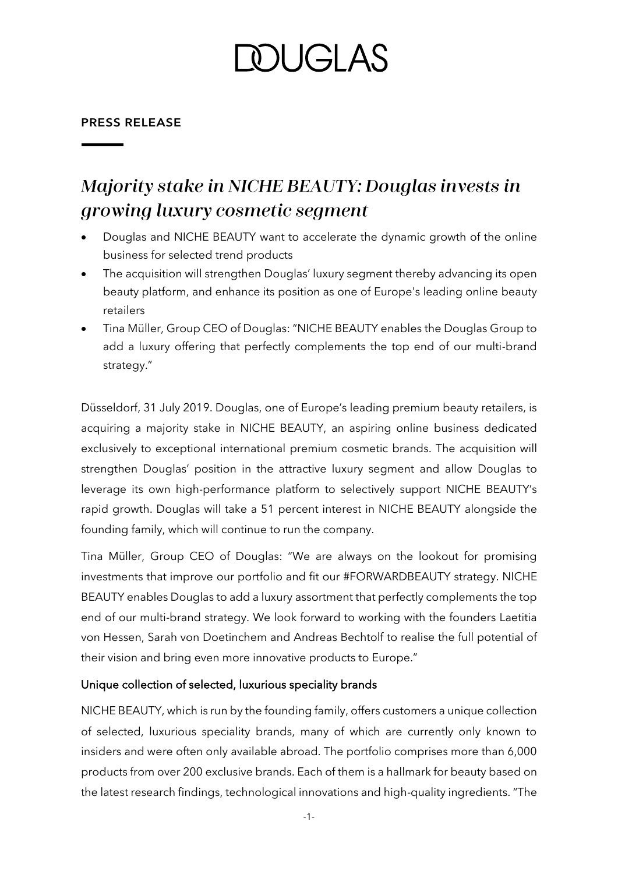### **DUGLAS**

#### **PRESS RELEASE**

### Majority stake in NICHE BEAUTY: Douglas invests in growing luxury cosmetic segment

- Douglas and NICHE BEAUTY want to accelerate the dynamic growth of the online business for selected trend products
- The acquisition will strengthen Douglas' luxury segment thereby advancing its open beauty platform, and enhance its position as one of Europe's leading online beauty retailers
- Tina Müller, Group CEO of Douglas: "NICHE BEAUTY enables the Douglas Group to add a luxury offering that perfectly complements the top end of our multi-brand strategy."

Düsseldorf, 31 July 2019. Douglas, one of Europe's leading premium beauty retailers, is acquiring a majority stake in NICHE BEAUTY, an aspiring online business dedicated exclusively to exceptional international premium cosmetic brands. The acquisition will strengthen Douglas' position in the attractive luxury segment and allow Douglas to leverage its own high-performance platform to selectively support NICHE BEAUTY's rapid growth. Douglas will take a 51 percent interest in NICHE BEAUTY alongside the founding family, which will continue to run the company.

Tina Müller, Group CEO of Douglas: "We are always on the lookout for promising investments that improve our portfolio and fit our #FORWARDBEAUTY strategy. NICHE BEAUTY enables Douglas to add a luxury assortment that perfectly complements the top end of our multi-brand strategy. We look forward to working with the founders Laetitia von Hessen, Sarah von Doetinchem and Andreas Bechtolf to realise the full potential of their vision and bring even more innovative products to Europe."

#### Unique collection of selected, luxurious speciality brands

NICHE BEAUTY, which is run by the founding family, offers customers a unique collection of selected, luxurious speciality brands, many of which are currently only known to insiders and were often only available abroad. The portfolio comprises more than 6,000 products from over 200 exclusive brands. Each of them is a hallmark for beauty based on the latest research findings, technological innovations and high-quality ingredients. "The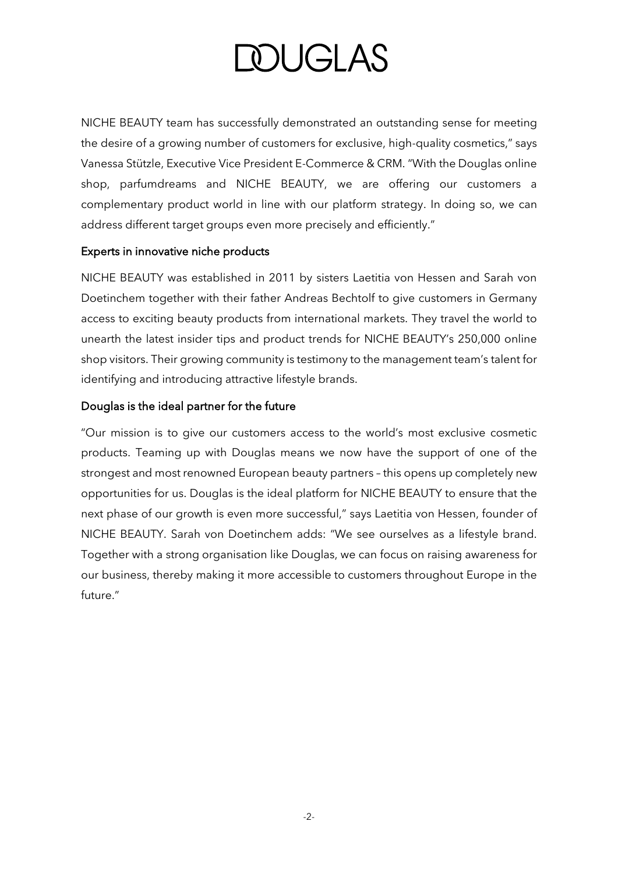# **DOUGLAS**

NICHE BEAUTY team has successfully demonstrated an outstanding sense for meeting the desire of a growing number of customers for exclusive, high-quality cosmetics," says Vanessa Stützle, Executive Vice President E-Commerce & CRM. "With the Douglas online shop, parfumdreams and NICHE BEAUTY, we are offering our customers a complementary product world in line with our platform strategy. In doing so, we can address different target groups even more precisely and efficiently."

#### Experts in innovative niche products

NICHE BEAUTY was established in 2011 by sisters Laetitia von Hessen and Sarah von Doetinchem together with their father Andreas Bechtolf to give customers in Germany access to exciting beauty products from international markets. They travel the world to unearth the latest insider tips and product trends for NICHE BEAUTY's 250,000 online shop visitors. Their growing community is testimony to the management team's talent for identifying and introducing attractive lifestyle brands.

#### Douglas is the ideal partner for the future

"Our mission is to give our customers access to the world's most exclusive cosmetic products. Teaming up with Douglas means we now have the support of one of the strongest and most renowned European beauty partners – this opens up completely new opportunities for us. Douglas is the ideal platform for NICHE BEAUTY to ensure that the next phase of our growth is even more successful," says Laetitia von Hessen, founder of NICHE BEAUTY. Sarah von Doetinchem adds: "We see ourselves as a lifestyle brand. Together with a strong organisation like Douglas, we can focus on raising awareness for our business, thereby making it more accessible to customers throughout Europe in the future."